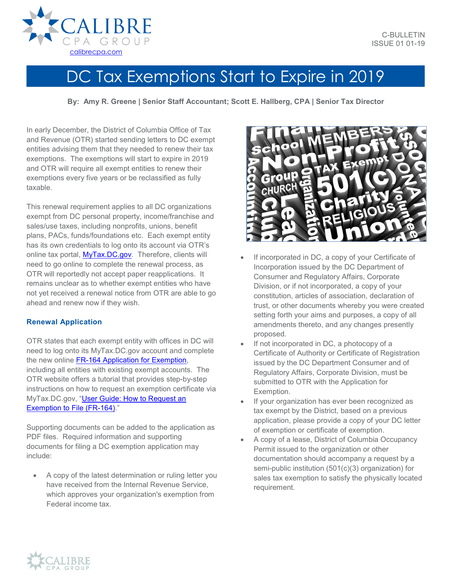## DC Tax Exemptions Start to Expire in 2019

**By: Amy R. Greene | Senior Staff Accountant; Scott E. Hallberg, CPA | Senior Tax Director**

In early December, the District of Columbia Office of Tax and Revenue (OTR) started sending letters to DC exempt entities advising them that they needed to renew their tax exemptions. The exemptions will start to expire in 2019 and OTR will require all exempt entities to renew their exemptions every five years or be reclassified as fully taxable.

This renewal requirement applies to all DC organizations exempt from DC personal property, income/franchise and sales/use taxes, including nonprofits, unions, benefit plans, PACs, funds/foundations etc. Each exempt entity has its own credentials to log onto its account via OTR's online tax portal, [MyTax.DC.gov.](https://mytax.dc.gov/_/) Therefore, clients will need to go online to complete the renewal process, as OTR will reportedly not accept paper reapplications. It remains unclear as to whether exempt entities who have not yet received a renewal notice from OTR are able to go ahead and renew now if they wish.

## **Renewal Application**

OTR states that each exempt entity with offices in DC will need to log onto its MyTax.DC.gov account and complete the new online [FR-164 Application for Exemption,](https://otr.cfo.dc.gov/sites/default/files/dc/sites/otr/publication/attachments/FR-164%20REV12-12APPLICATIONPACKAGE.pdf) including all entities with existing exempt accounts. The OTR website offers a tutorial that provides step-by-step instructions on how to request an exemption certificate via MyTax.DC.gov, ["User Guide: How to Request an](https://otr.cfo.dc.gov/sites/default/files/dc/sites/otr/publication/attachments/MyTax.DC_.gov%20-Exemption%20to%20File%20FR-164%20Guide.pdf)  [Exemption to File \(FR-164\).](https://otr.cfo.dc.gov/sites/default/files/dc/sites/otr/publication/attachments/MyTax.DC_.gov%20-Exemption%20to%20File%20FR-164%20Guide.pdf)"

Supporting documents can be added to the application as PDF files. Required information and supporting documents for filing a DC exemption application may include:

• A copy of the latest determination or ruling letter you have received from the Internal Revenue Service, which approves your organization's exemption from Federal income tax.



- If incorporated in DC, a copy of your Certificate of Incorporation issued by the DC Department of Consumer and Regulatory Affairs, Corporate Division, or if not incorporated, a copy of your constitution, articles of association, declaration of trust, or other documents whereby you were created setting forth your aims and purposes, a copy of all amendments thereto, and any changes presently proposed.
- If not incorporated in DC, a photocopy of a Certificate of Authority or Certificate of Registration issued by the DC Department Consumer and of Regulatory Affairs, Corporate Division, must be submitted to OTR with the Application for Exemption.
- If your organization has ever been recognized as tax exempt by the District, based on a previous application, please provide a copy of your DC letter of exemption or certificate of exemption.
- A copy of a lease, District of Columbia Occupancy Permit issued to the organization or other documentation should accompany a request by a semi-public institution (501(c)(3) organization) for sales tax exemption to satisfy the physically located requirement.